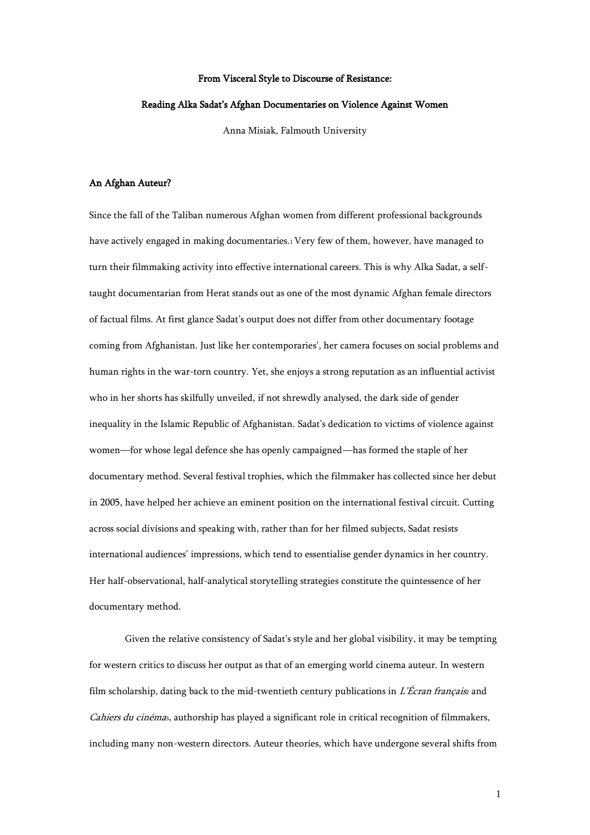#### From Visceral Style to Discourse of Resistance:

#### Reading Alka Sadat's Afghan Documentaries on Violence Against Women

Anna Misiak, Falmouth University

## An Afghan Auteur?

Since the fall of the Taliban numerous Afghan women from different professional backgrounds have actively engaged in making documentaries.<sup>1</sup> Very few of them, however, have managed to turn their filmmaking activity into effective international careers. This is why Alka Sadat, a selftaught documentarian from Herat stands out as one of the most dynamic Afghan female directors of factual films. At first glance Sadat's output does not differ from other documentary footage coming from Afghanistan. Just like her contemporaries', her camera focuses on social problems and human rights in the war-torn country. Yet, she enjoys a strong reputation as an influential activist who in her shorts has skilfully unveiled, if not shrewdly analysed, the dark side of gender inequality in the Islamic Republic of Afghanistan. Sadat's dedication to victims of violence against women—for whose legal defence she has openly campaigned—has formed the staple of her documentary method. Several festival trophies, which the filmmaker has collected since her debut in 2005, have helped her achieve an eminent position on the international festival circuit. Cutting across social divisions and speaking with, rather than for her filmed subjects, Sadat resists international audiences' impressions, which tend to essentialise gender dynamics in her country. Her half-observational, half-analytical storytelling strategies constitute the quintessence of her documentary method.

Given the relative consistency of Sadat's style and her global visibility, it may be tempting for western critics to discuss her output as that of an emerging world cinema auteur. In western film scholarship, dating back to the mid-twentieth century publications in L'Écran française and Cahiers du cinémas, authorship has played a significant role in critical recognition of filmmakers, including many non-western directors. Auteur theories, which have undergone several shifts from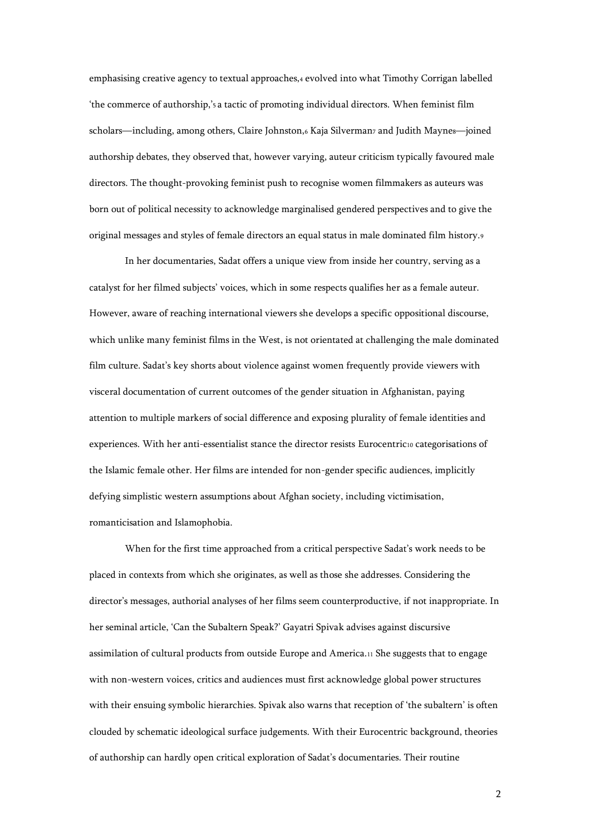emphasising creative agency to textual approaches,4 evolved into what Timothy Corrigan labelled 'the commerce of authorship,'<sup>5</sup> a tactic of promoting individual directors. When feminist film scholars—including, among others, Claire Johnston,6 Kaja Silverman7 and Judith Maynes—joined authorship debates, they observed that, however varying, auteur criticism typically favoured male directors. The thought-provoking feminist push to recognise women filmmakers as auteurs was born out of political necessity to acknowledge marginalised gendered perspectives and to give the original messages and styles of female directors an equal status in male dominated film history.<sup>9</sup>

In her documentaries, Sadat offers a unique view from inside her country, serving as a catalyst for her filmed subjects' voices, which in some respects qualifies her as a female auteur. However, aware of reaching international viewers she develops a specific oppositional discourse, which unlike many feminist films in the West, is not orientated at challenging the male dominated film culture. Sadat's key shorts about violence against women frequently provide viewers with visceral documentation of current outcomes of the gender situation in Afghanistan, paying attention to multiple markers of social difference and exposing plurality of female identities and experiences. With her anti-essentialist stance the director resists Eurocentric10 categorisations of the Islamic female other. Her films are intended for non-gender specific audiences, implicitly defying simplistic western assumptions about Afghan society, including victimisation, romanticisation and Islamophobia.

When for the first time approached from a critical perspective Sadat's work needs to be placed in contexts from which she originates, as well as those she addresses. Considering the director's messages, authorial analyses of her films seem counterproductive, if not inappropriate. In her seminal article, 'Can the Subaltern Speak?' Gayatri Spivak advises against discursive assimilation of cultural products from outside Europe and America.<sup>11</sup> She suggests that to engage with non-western voices, critics and audiences must first acknowledge global power structures with their ensuing symbolic hierarchies. Spivak also warns that reception of 'the subaltern' is often clouded by schematic ideological surface judgements. With their Eurocentric background, theories of authorship can hardly open critical exploration of Sadat's documentaries. Their routine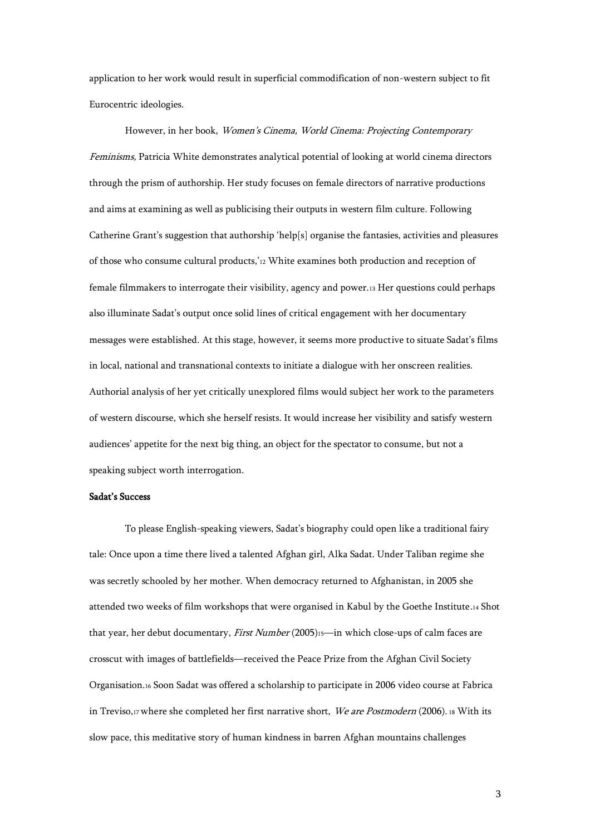application to her work would result in superficial commodification of non-western subject to fit Eurocentric ideologies.

However, in her book, Women's Cinema, World Cinema: Projecting Contemporary Feminisms, Patricia White demonstrates analytical potential of looking at world cinema directors through the prism of authorship. Her study focuses on female directors of narrative productions and aims at examining as well as publicising their outputs in western film culture. Following Catherine Grant's suggestion that authorship 'help[s] organise the fantasies, activities and pleasures of those who consume cultural products,'<sup>12</sup> White examines both production and reception of female filmmakers to interrogate their visibility, agency and power.<sup>13</sup> Her questions could perhaps also illuminate Sadat's output once solid lines of critical engagement with her documentary messages were established. At this stage, however, it seems more productive to situate Sadat's films in local, national and transnational contexts to initiate a dialogue with her onscreen realities. Authorial analysis of her yet critically unexplored films would subject her work to the parameters of western discourse, which she herself resists. It would increase her visibility and satisfy western audiences' appetite for the next big thing, an object for the spectator to consume, but not a speaking subject worth interrogation.

## Sadat's Success

To please English-speaking viewers, Sadat's biography could open like a traditional fairy tale: Once upon a time there lived a talented Afghan girl, Alka Sadat. Under Taliban regime she was secretly schooled by her mother. When democracy returned to Afghanistan, in 2005 she attended two weeks of film workshops that were organised in Kabul by the Goethe Institute.<sup>14</sup> Shot that year, her debut documentary, First Number (2005)15-in which close-ups of calm faces are crosscut with images of battlefields—received the Peace Prize from the Afghan Civil Society Organisation.<sup>16</sup> Soon Sadat was offered a scholarship to participate in 2006 video course at Fabrica in Treviso,17 where she completed her first narrative short, We are Postmodern (2006). 18 With its slow pace, this meditative story of human kindness in barren Afghan mountains challenges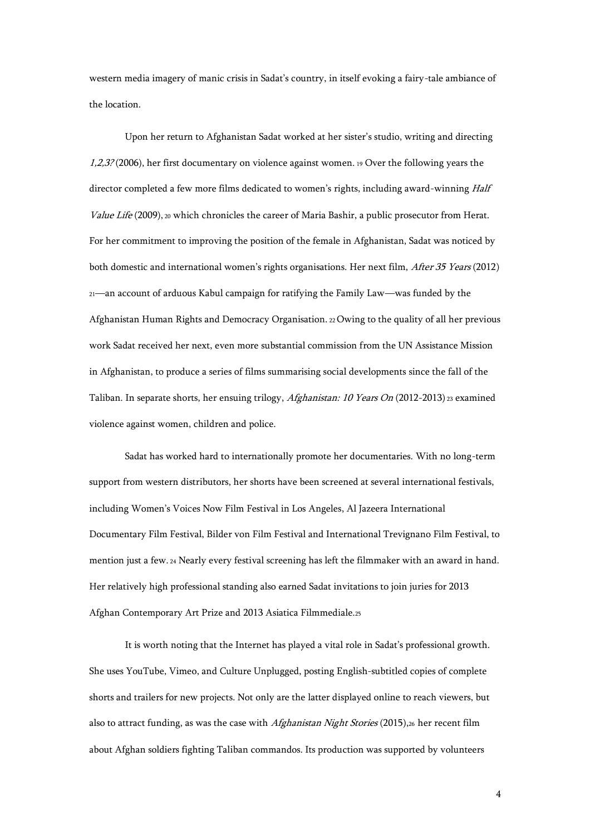western media imagery of manic crisis in Sadat's country, in itself evoking a fairy-tale ambiance of the location.

Upon her return to Afghanistan Sadat worked at her sister's studio, writing and directing  $1,2,3$ ? (2006), her first documentary on violence against women. 19 Over the following years the director completed a few more films dedicated to women's rights, including award-winning Half Value Life (2009), 20 which chronicles the career of Maria Bashir, a public prosecutor from Herat. For her commitment to improving the position of the female in Afghanistan, Sadat was noticed by both domestic and international women's rights organisations. Her next film, After 35 Years (2012) <sup>21</sup>—an account of arduous Kabul campaign for ratifying the Family Law—was funded by the Afghanistan Human Rights and Democracy Organisation. <sup>22</sup>Owing to the quality of all her previous work Sadat received her next, even more substantial commission from the UN Assistance Mission in Afghanistan, to produce a series of films summarising social developments since the fall of the Taliban. In separate shorts, her ensuing trilogy, Afghanistan: 10 Years On (2012-2013) <sup>23</sup> examined violence against women, children and police.

Sadat has worked hard to internationally promote her documentaries. With no long-term support from western distributors, her shorts have been screened at several international festivals, including Women's Voices Now Film Festival in Los Angeles, Al Jazeera International Documentary Film Festival, Bilder von Film Festival and International Trevignano Film Festival, to mention just a few. <sup>24</sup> Nearly every festival screening has left the filmmaker with an award in hand. Her relatively high professional standing also earned Sadat invitations to join juries for 2013 Afghan Contemporary Art Prize and 2013 Asiatica Filmmediale.<sup>25</sup>

It is worth noting that the Internet has played a vital role in Sadat's professional growth. She uses YouTube, Vimeo, and Culture Unplugged, posting English-subtitled copies of complete shorts and trailers for new projects. Not only are the latter displayed online to reach viewers, but also to attract funding, as was the case with *Afghanistan Night Stories* (2015),26 her recent film about Afghan soldiers fighting Taliban commandos. Its production was supported by volunteers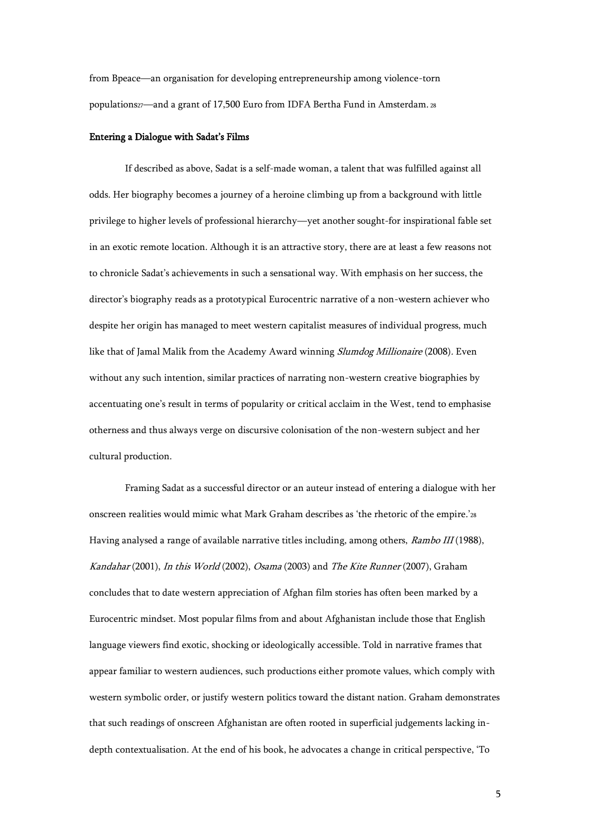from Bpeace—an organisation for developing entrepreneurship among violence-torn populations27—and a grant of 17,500 Euro from IDFA Bertha Fund in Amsterdam. 28

## Entering a Dialogue with Sadat's Films

If described as above, Sadat is a self-made woman, a talent that was fulfilled against all odds. Her biography becomes a journey of a heroine climbing up from a background with little privilege to higher levels of professional hierarchy—yet another sought-for inspirational fable set in an exotic remote location. Although it is an attractive story, there are at least a few reasons not to chronicle Sadat's achievements in such a sensational way. With emphasis on her success, the director's biography reads as a prototypical Eurocentric narrative of a non-western achiever who despite her origin has managed to meet western capitalist measures of individual progress, much like that of Jamal Malik from the Academy Award winning Slumdog Millionaire (2008). Even without any such intention, similar practices of narrating non-western creative biographies by accentuating one's result in terms of popularity or critical acclaim in the West, tend to emphasise otherness and thus always verge on discursive colonisation of the non-western subject and her cultural production.

Framing Sadat as a successful director or an auteur instead of entering a dialogue with her onscreen realities would mimic what Mark Graham describes as 'the rhetoric of the empire.'<sup>28</sup> Having analysed a range of available narrative titles including, among others, Rambo III (1988), Kandahar (2001), In this World (2002), Osama (2003) and The Kite Runner (2007), Graham concludes that to date western appreciation of Afghan film stories has often been marked by a Eurocentric mindset. Most popular films from and about Afghanistan include those that English language viewers find exotic, shocking or ideologically accessible. Told in narrative frames that appear familiar to western audiences, such productions either promote values, which comply with western symbolic order, or justify western politics toward the distant nation. Graham demonstrates that such readings of onscreen Afghanistan are often rooted in superficial judgements lacking indepth contextualisation. At the end of his book, he advocates a change in critical perspective, 'To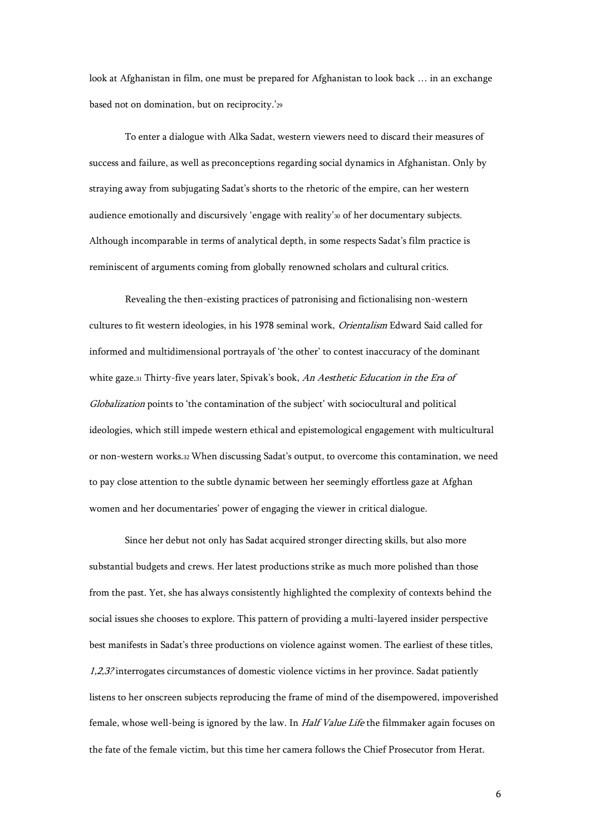look at Afghanistan in film, one must be prepared for Afghanistan to look back … in an exchange based not on domination, but on reciprocity.'<sup>29</sup>

To enter a dialogue with Alka Sadat, western viewers need to discard their measures of success and failure, as well as preconceptions regarding social dynamics in Afghanistan. Only by straying away from subjugating Sadat's shorts to the rhetoric of the empire, can her western audience emotionally and discursively 'engage with reality'<sup>30</sup> of her documentary subjects. Although incomparable in terms of analytical depth, in some respects Sadat's film practice is reminiscent of arguments coming from globally renowned scholars and cultural critics.

Revealing the then-existing practices of patronising and fictionalising non-western cultures to fit western ideologies, in his 1978 seminal work, Orientalism Edward Said called for informed and multidimensional portrayals of 'the other' to contest inaccuracy of the dominant white gaze.31 Thirty-five years later, Spivak's book, An Aesthetic Education in the Era of Globalization points to 'the contamination of the subject' with sociocultural and political ideologies, which still impede western ethical and epistemological engagement with multicultural or non-western works.<sup>32</sup> When discussing Sadat's output, to overcome this contamination, we need to pay close attention to the subtle dynamic between her seemingly effortless gaze at Afghan women and her documentaries' power of engaging the viewer in critical dialogue.

Since her debut not only has Sadat acquired stronger directing skills, but also more substantial budgets and crews. Her latest productions strike as much more polished than those from the past. Yet, she has always consistently highlighted the complexity of contexts behind the social issues she chooses to explore. This pattern of providing a multi-layered insider perspective best manifests in Sadat's three productions on violence against women. The earliest of these titles, 1,2,3? interrogates circumstances of domestic violence victims in her province. Sadat patiently listens to her onscreen subjects reproducing the frame of mind of the disempowered, impoverished female, whose well-being is ignored by the law. In Half Value Life the filmmaker again focuses on the fate of the female victim, but this time her camera follows the Chief Prosecutor from Herat.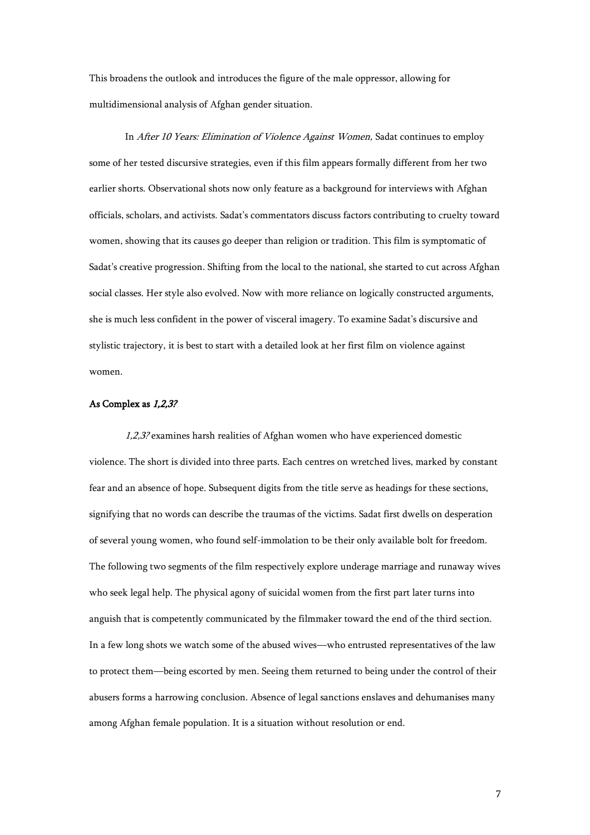This broadens the outlook and introduces the figure of the male oppressor, allowing for multidimensional analysis of Afghan gender situation.

In After 10 Years: Elimination of Violence Against Women, Sadat continues to employ some of her tested discursive strategies, even if this film appears formally different from her two earlier shorts. Observational shots now only feature as a background for interviews with Afghan officials, scholars, and activists. Sadat's commentators discuss factors contributing to cruelty toward women, showing that its causes go deeper than religion or tradition. This film is symptomatic of Sadat's creative progression. Shifting from the local to the national, she started to cut across Afghan social classes. Her style also evolved. Now with more reliance on logically constructed arguments, she is much less confident in the power of visceral imagery. To examine Sadat's discursive and stylistic trajectory, it is best to start with a detailed look at her first film on violence against women.

### As Complex as 1,2,3?

1,2,3? examines harsh realities of Afghan women who have experienced domestic violence. The short is divided into three parts. Each centres on wretched lives, marked by constant fear and an absence of hope. Subsequent digits from the title serve as headings for these sections, signifying that no words can describe the traumas of the victims. Sadat first dwells on desperation of several young women, who found self-immolation to be their only available bolt for freedom. The following two segments of the film respectively explore underage marriage and runaway wives who seek legal help. The physical agony of suicidal women from the first part later turns into anguish that is competently communicated by the filmmaker toward the end of the third section. In a few long shots we watch some of the abused wives—who entrusted representatives of the law to protect them—being escorted by men. Seeing them returned to being under the control of their abusers forms a harrowing conclusion. Absence of legal sanctions enslaves and dehumanises many among Afghan female population. It is a situation without resolution or end.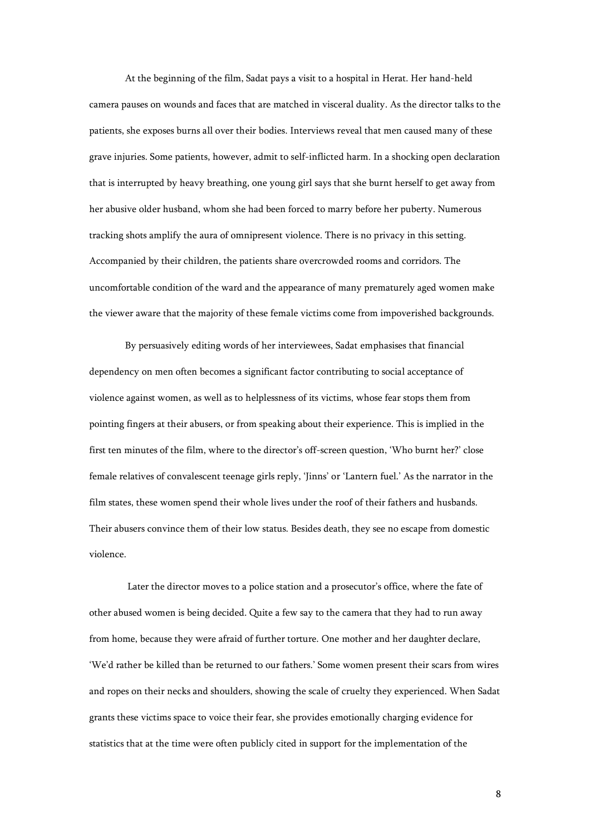At the beginning of the film, Sadat pays a visit to a hospital in Herat. Her hand-held camera pauses on wounds and faces that are matched in visceral duality. As the director talks to the patients, she exposes burns all over their bodies. Interviews reveal that men caused many of these grave injuries. Some patients, however, admit to self-inflicted harm. In a shocking open declaration that is interrupted by heavy breathing, one young girl says that she burnt herself to get away from her abusive older husband, whom she had been forced to marry before her puberty. Numerous tracking shots amplify the aura of omnipresent violence. There is no privacy in this setting. Accompanied by their children, the patients share overcrowded rooms and corridors. The uncomfortable condition of the ward and the appearance of many prematurely aged women make the viewer aware that the majority of these female victims come from impoverished backgrounds.

By persuasively editing words of her interviewees, Sadat emphasises that financial dependency on men often becomes a significant factor contributing to social acceptance of violence against women, as well as to helplessness of its victims, whose fear stops them from pointing fingers at their abusers, or from speaking about their experience. This is implied in the first ten minutes of the film, where to the director's off-screen question, 'Who burnt her?' close female relatives of convalescent teenage girls reply, 'Jinns' or 'Lantern fuel.' As the narrator in the film states, these women spend their whole lives under the roof of their fathers and husbands. Their abusers convince them of their low status. Besides death, they see no escape from domestic violence.

Later the director moves to a police station and a prosecutor's office, where the fate of other abused women is being decided. Quite a few say to the camera that they had to run away from home, because they were afraid of further torture. One mother and her daughter declare, 'We'd rather be killed than be returned to our fathers.' Some women present their scars from wires and ropes on their necks and shoulders, showing the scale of cruelty they experienced. When Sadat grants these victims space to voice their fear, she provides emotionally charging evidence for statistics that at the time were often publicly cited in support for the implementation of the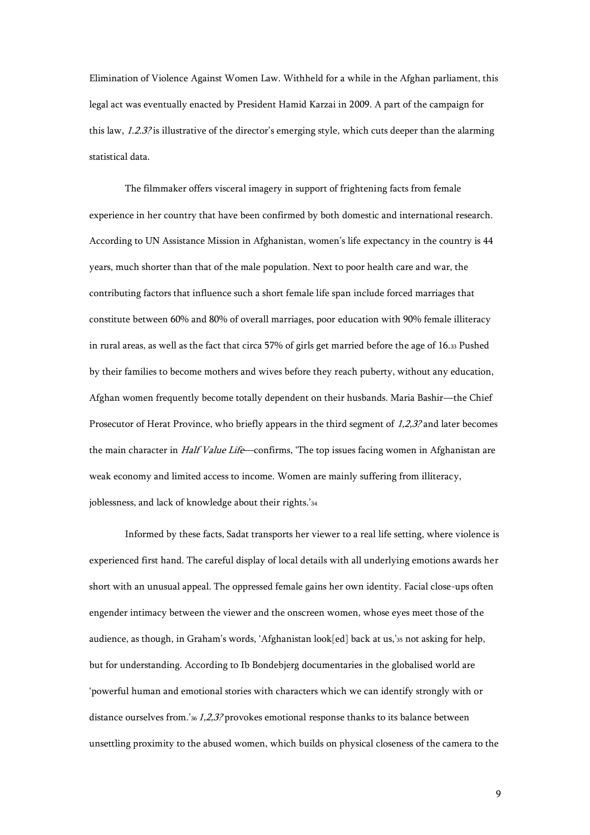Elimination of Violence Against Women Law. Withheld for a while in the Afghan parliament, this legal act was eventually enacted by President Hamid Karzai in 2009. A part of the campaign for this law, 1.2.3? is illustrative of the director's emerging style, which cuts deeper than the alarming statistical data.

The filmmaker offers visceral imagery in support of frightening facts from female experience in her country that have been confirmed by both domestic and international research. According to UN Assistance Mission in Afghanistan, women's life expectancy in the country is 44 years, much shorter than that of the male population. Next to poor health care and war, the contributing factors that influence such a short female life span include forced marriages that constitute between 60% and 80% of overall marriages, poor education with 90% female illiteracy in rural areas, as well as the fact that circa 57% of girls get married before the age of 16.<sup>33</sup> Pushed by their families to become mothers and wives before they reach puberty, without any education, Afghan women frequently become totally dependent on their husbands. Maria Bashir—the Chief Prosecutor of Herat Province, who briefly appears in the third segment of 1,2,3? and later becomes the main character in *Half Value Life*—confirms, 'The top issues facing women in Afghanistan are weak economy and limited access to income. Women are mainly suffering from illiteracy, joblessness, and lack of knowledge about their rights.'<sup>34</sup>

Informed by these facts, Sadat transports her viewer to a real life setting, where violence is experienced first hand. The careful display of local details with all underlying emotions awards her short with an unusual appeal. The oppressed female gains her own identity. Facial close-ups often engender intimacy between the viewer and the onscreen women, whose eyes meet those of the audience, as though, in Graham's words, 'Afghanistan look[ed] back at us,'<sup>35</sup> not asking for help, but for understanding. According to Ib Bondebjerg documentaries in the globalised world are 'powerful human and emotional stories with characters which we can identify strongly with or distance ourselves from.'36 1,2,3? provokes emotional response thanks to its balance between unsettling proximity to the abused women, which builds on physical closeness of the camera to the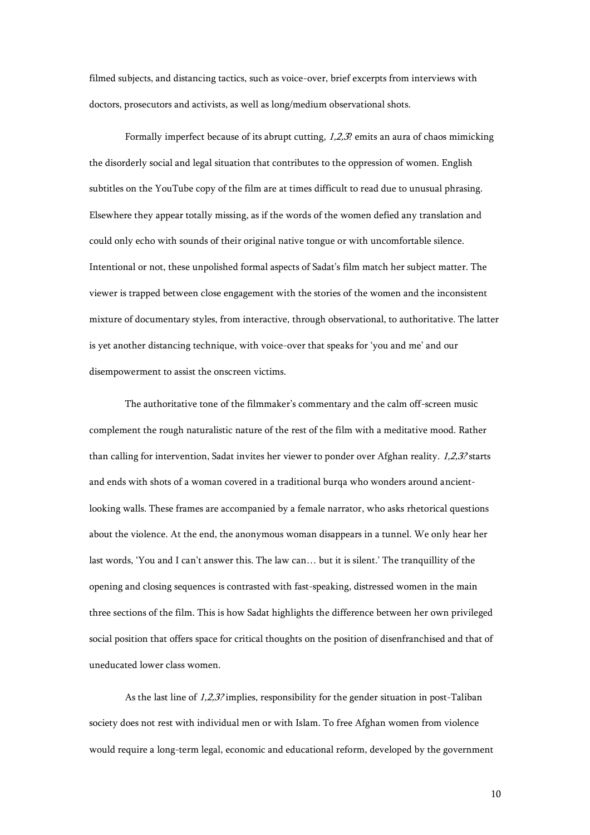filmed subjects, and distancing tactics, such as voice-over, brief excerpts from interviews with doctors, prosecutors and activists, as well as long/medium observational shots.

Formally imperfect because of its abrupt cutting, 1,2,3? emits an aura of chaos mimicking the disorderly social and legal situation that contributes to the oppression of women. English subtitles on the YouTube copy of the film are at times difficult to read due to unusual phrasing. Elsewhere they appear totally missing, as if the words of the women defied any translation and could only echo with sounds of their original native tongue or with uncomfortable silence. Intentional or not, these unpolished formal aspects of Sadat's film match her subject matter. The viewer is trapped between close engagement with the stories of the women and the inconsistent mixture of documentary styles, from interactive, through observational, to authoritative. The latter is yet another distancing technique, with voice-over that speaks for 'you and me' and our disempowerment to assist the onscreen victims.

The authoritative tone of the filmmaker's commentary and the calm off-screen music complement the rough naturalistic nature of the rest of the film with a meditative mood. Rather than calling for intervention, Sadat invites her viewer to ponder over Afghan reality. 1,2,3? starts and ends with shots of a woman covered in a traditional burqa who wonders around ancientlooking walls. These frames are accompanied by a female narrator, who asks rhetorical questions about the violence. At the end, the anonymous woman disappears in a tunnel. We only hear her last words, 'You and I can't answer this. The law can… but it is silent.' The tranquillity of the opening and closing sequences is contrasted with fast-speaking, distressed women in the main three sections of the film. This is how Sadat highlights the difference between her own privileged social position that offers space for critical thoughts on the position of disenfranchised and that of uneducated lower class women.

As the last line of 1,2,3? implies, responsibility for the gender situation in post-Taliban society does not rest with individual men or with Islam. To free Afghan women from violence would require a long-term legal, economic and educational reform, developed by the government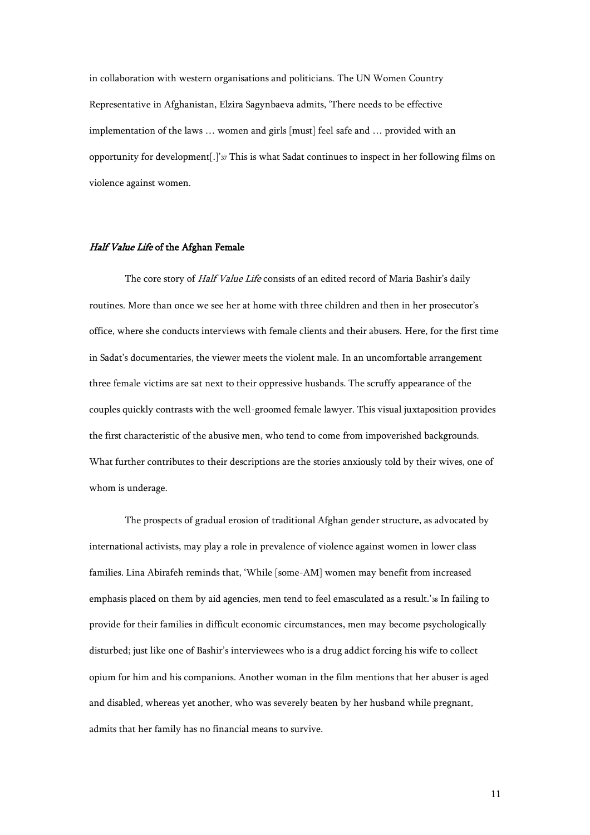in collaboration with western organisations and politicians. The UN Women Country Representative in Afghanistan, Elzira Sagynbaeva admits, 'There needs to be effective implementation of the laws … women and girls [must] feel safe and … provided with an opportunity for development[.]'<sup>37</sup> This is what Sadat continues to inspect in her following films on violence against women.

#### Half Value Life of the Afghan Female

The core story of Half Value Life consists of an edited record of Maria Bashir's daily routines. More than once we see her at home with three children and then in her prosecutor's office, where she conducts interviews with female clients and their abusers. Here, for the first time in Sadat's documentaries, the viewer meets the violent male. In an uncomfortable arrangement three female victims are sat next to their oppressive husbands. The scruffy appearance of the couples quickly contrasts with the well-groomed female lawyer. This visual juxtaposition provides the first characteristic of the abusive men, who tend to come from impoverished backgrounds. What further contributes to their descriptions are the stories anxiously told by their wives, one of whom is underage.

The prospects of gradual erosion of traditional Afghan gender structure, as advocated by international activists, may play a role in prevalence of violence against women in lower class families. Lina Abirafeh reminds that, 'While [some-AM] women may benefit from increased emphasis placed on them by aid agencies, men tend to feel emasculated as a result.'<sup>38</sup> In failing to provide for their families in difficult economic circumstances, men may become psychologically disturbed; just like one of Bashir's interviewees who is a drug addict forcing his wife to collect opium for him and his companions. Another woman in the film mentions that her abuser is aged and disabled, whereas yet another, who was severely beaten by her husband while pregnant, admits that her family has no financial means to survive.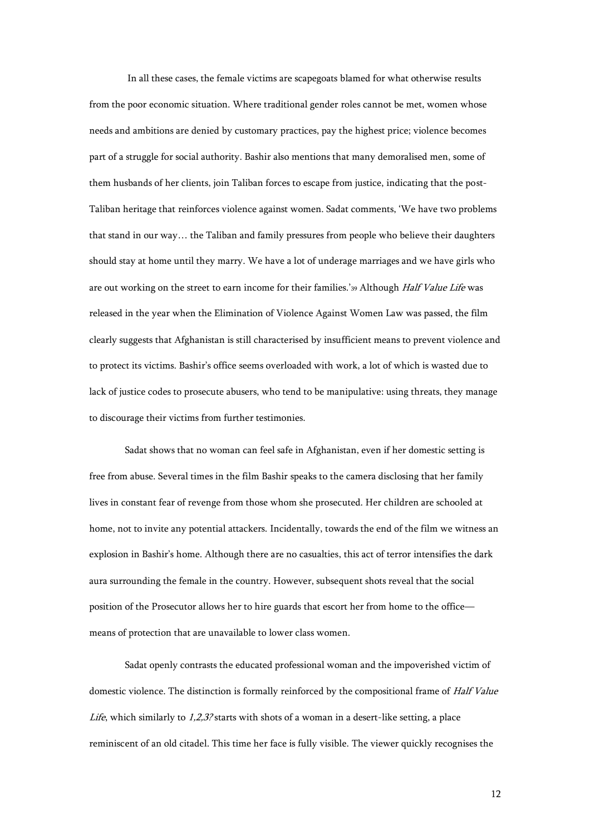In all these cases, the female victims are scapegoats blamed for what otherwise results from the poor economic situation. Where traditional gender roles cannot be met, women whose needs and ambitions are denied by customary practices, pay the highest price; violence becomes part of a struggle for social authority. Bashir also mentions that many demoralised men, some of them husbands of her clients, join Taliban forces to escape from justice, indicating that the post-Taliban heritage that reinforces violence against women. Sadat comments, 'We have two problems that stand in our way… the Taliban and family pressures from people who believe their daughters should stay at home until they marry. We have a lot of underage marriages and we have girls who are out working on the street to earn income for their families.'39 Although Half Value Life was released in the year when the Elimination of Violence Against Women Law was passed, the film clearly suggests that Afghanistan is still characterised by insufficient means to prevent violence and to protect its victims. Bashir's office seems overloaded with work, a lot of which is wasted due to lack of justice codes to prosecute abusers, who tend to be manipulative: using threats, they manage to discourage their victims from further testimonies.

Sadat shows that no woman can feel safe in Afghanistan, even if her domestic setting is free from abuse. Several times in the film Bashir speaks to the camera disclosing that her family lives in constant fear of revenge from those whom she prosecuted. Her children are schooled at home, not to invite any potential attackers. Incidentally, towards the end of the film we witness an explosion in Bashir's home. Although there are no casualties, this act of terror intensifies the dark aura surrounding the female in the country. However, subsequent shots reveal that the social position of the Prosecutor allows her to hire guards that escort her from home to the office means of protection that are unavailable to lower class women.

Sadat openly contrasts the educated professional woman and the impoverished victim of domestic violence. The distinction is formally reinforced by the compositional frame of Half Value Life, which similarly to  $1,2,3$ ? starts with shots of a woman in a desert-like setting, a place reminiscent of an old citadel. This time her face is fully visible. The viewer quickly recognises the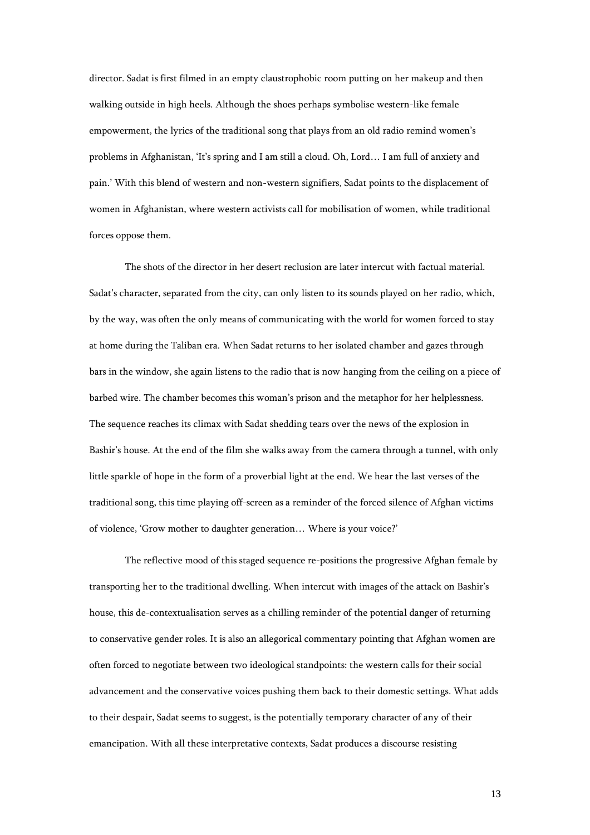director. Sadat is first filmed in an empty claustrophobic room putting on her makeup and then walking outside in high heels. Although the shoes perhaps symbolise western-like female empowerment, the lyrics of the traditional song that plays from an old radio remind women's problems in Afghanistan, 'It's spring and I am still a cloud. Oh, Lord… I am full of anxiety and pain.' With this blend of western and non-western signifiers, Sadat points to the displacement of women in Afghanistan, where western activists call for mobilisation of women, while traditional forces oppose them.

The shots of the director in her desert reclusion are later intercut with factual material. Sadat's character, separated from the city, can only listen to its sounds played on her radio, which, by the way, was often the only means of communicating with the world for women forced to stay at home during the Taliban era. When Sadat returns to her isolated chamber and gazes through bars in the window, she again listens to the radio that is now hanging from the ceiling on a piece of barbed wire. The chamber becomes this woman's prison and the metaphor for her helplessness. The sequence reaches its climax with Sadat shedding tears over the news of the explosion in Bashir's house. At the end of the film she walks away from the camera through a tunnel, with only little sparkle of hope in the form of a proverbial light at the end. We hear the last verses of the traditional song, this time playing off-screen as a reminder of the forced silence of Afghan victims of violence, 'Grow mother to daughter generation… Where is your voice?'

The reflective mood of this staged sequence re-positions the progressive Afghan female by transporting her to the traditional dwelling. When intercut with images of the attack on Bashir's house, this de-contextualisation serves as a chilling reminder of the potential danger of returning to conservative gender roles. It is also an allegorical commentary pointing that Afghan women are often forced to negotiate between two ideological standpoints: the western calls for their social advancement and the conservative voices pushing them back to their domestic settings. What adds to their despair, Sadat seems to suggest, is the potentially temporary character of any of their emancipation. With all these interpretative contexts, Sadat produces a discourse resisting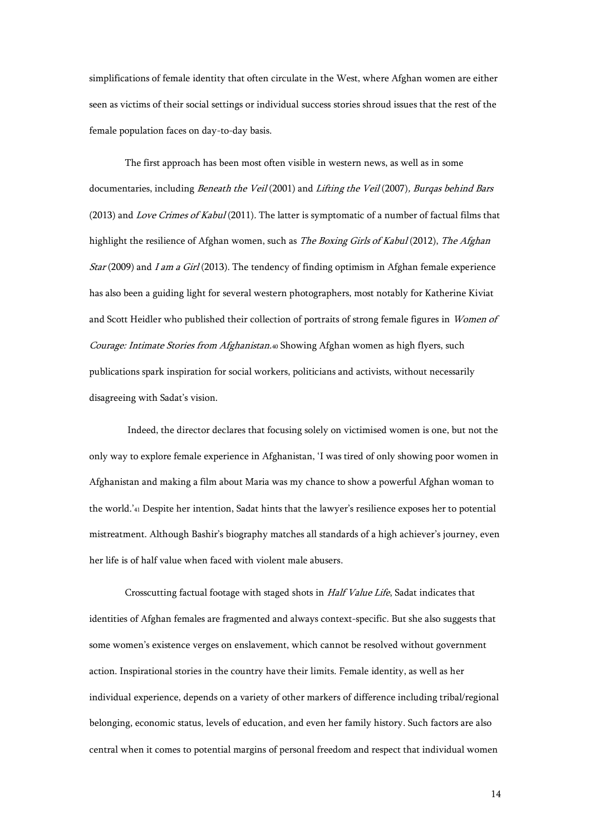simplifications of female identity that often circulate in the West, where Afghan women are either seen as victims of their social settings or individual success stories shroud issues that the rest of the female population faces on day-to-day basis.

The first approach has been most often visible in western news, as well as in some documentaries, including Beneath the Veil (2001) and Lifting the Veil (2007), Burqas behind Bars (2013) and Love Crimes of Kabul (2011). The latter is symptomatic of a number of factual films that highlight the resilience of Afghan women, such as *The Boxing Girls of Kabul* (2012), *The Afghan* Star (2009) and I am a Girl (2013). The tendency of finding optimism in Afghan female experience has also been a guiding light for several western photographers, most notably for Katherine Kiviat and Scott Heidler who published their collection of portraits of strong female figures in Women of Courage: Intimate Stories from Afghanistan.40 Showing Afghan women as high flyers, such publications spark inspiration for social workers, politicians and activists, without necessarily disagreeing with Sadat's vision.

Indeed, the director declares that focusing solely on victimised women is one, but not the only way to explore female experience in Afghanistan, 'I was tired of only showing poor women in Afghanistan and making a film about Maria was my chance to show a powerful Afghan woman to the world.'<sup>41</sup> Despite her intention, Sadat hints that the lawyer's resilience exposes her to potential mistreatment. Although Bashir's biography matches all standards of a high achiever's journey, even her life is of half value when faced with violent male abusers.

Crosscutting factual footage with staged shots in Half Value Life, Sadat indicates that identities of Afghan females are fragmented and always context-specific. But she also suggests that some women's existence verges on enslavement, which cannot be resolved without government action. Inspirational stories in the country have their limits. Female identity, as well as her individual experience, depends on a variety of other markers of difference including tribal/regional belonging, economic status, levels of education, and even her family history. Such factors are also central when it comes to potential margins of personal freedom and respect that individual women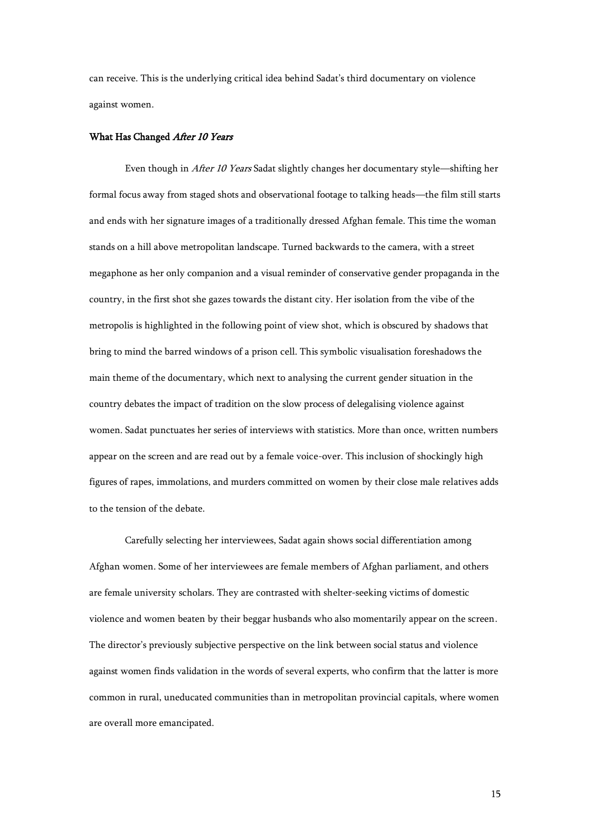can receive. This is the underlying critical idea behind Sadat's third documentary on violence against women.

## What Has Changed After 10 Years

 Even though in After 10 Years Sadat slightly changes her documentary style—shifting her formal focus away from staged shots and observational footage to talking heads—the film still starts and ends with her signature images of a traditionally dressed Afghan female. This time the woman stands on a hill above metropolitan landscape. Turned backwards to the camera, with a street megaphone as her only companion and a visual reminder of conservative gender propaganda in the country, in the first shot she gazes towards the distant city. Her isolation from the vibe of the metropolis is highlighted in the following point of view shot, which is obscured by shadows that bring to mind the barred windows of a prison cell. This symbolic visualisation foreshadows the main theme of the documentary, which next to analysing the current gender situation in the country debates the impact of tradition on the slow process of delegalising violence against women. Sadat punctuates her series of interviews with statistics. More than once, written numbers appear on the screen and are read out by a female voice-over. This inclusion of shockingly high figures of rapes, immolations, and murders committed on women by their close male relatives adds to the tension of the debate.

Carefully selecting her interviewees, Sadat again shows social differentiation among Afghan women. Some of her interviewees are female members of Afghan parliament, and others are female university scholars. They are contrasted with shelter-seeking victims of domestic violence and women beaten by their beggar husbands who also momentarily appear on the screen. The director's previously subjective perspective on the link between social status and violence against women finds validation in the words of several experts, who confirm that the latter is more common in rural, uneducated communities than in metropolitan provincial capitals, where women are overall more emancipated.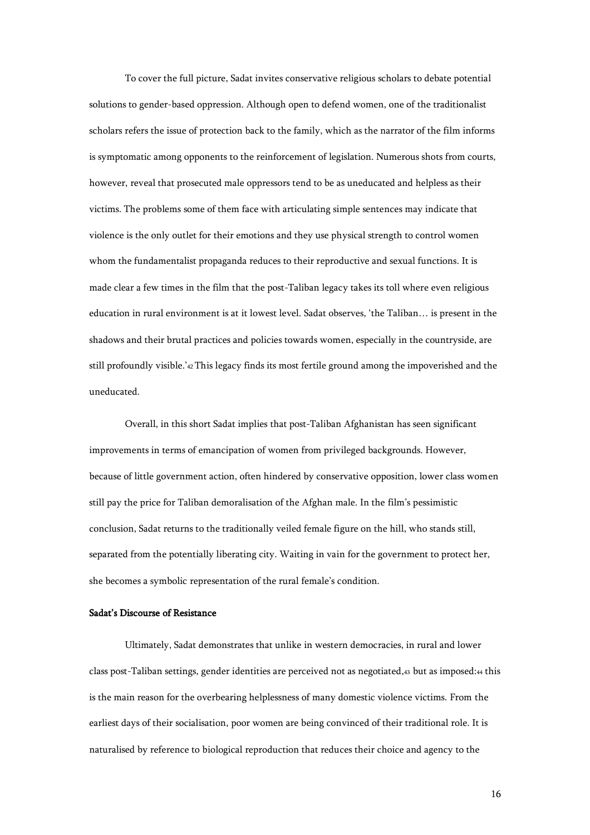To cover the full picture, Sadat invites conservative religious scholars to debate potential solutions to gender-based oppression. Although open to defend women, one of the traditionalist scholars refers the issue of protection back to the family, which as the narrator of the film informs is symptomatic among opponents to the reinforcement of legislation. Numerous shots from courts, however, reveal that prosecuted male oppressors tend to be as uneducated and helpless as their victims. The problems some of them face with articulating simple sentences may indicate that violence is the only outlet for their emotions and they use physical strength to control women whom the fundamentalist propaganda reduces to their reproductive and sexual functions. It is made clear a few times in the film that the post-Taliban legacy takes its toll where even religious education in rural environment is at it lowest level. Sadat observes, 'the Taliban… is present in the shadows and their brutal practices and policies towards women, especially in the countryside, are still profoundly visible.'42 This legacy finds its most fertile ground among the impoverished and the uneducated.

Overall, in this short Sadat implies that post-Taliban Afghanistan has seen significant improvements in terms of emancipation of women from privileged backgrounds. However, because of little government action, often hindered by conservative opposition, lower class women still pay the price for Taliban demoralisation of the Afghan male. In the film's pessimistic conclusion, Sadat returns to the traditionally veiled female figure on the hill, who stands still, separated from the potentially liberating city. Waiting in vain for the government to protect her, she becomes a symbolic representation of the rural female's condition.

## Sadat's Discourse of Resistance

Ultimately, Sadat demonstrates that unlike in western democracies, in rural and lower class post-Taliban settings, gender identities are perceived not as negotiated,43 but as imposed:<sup>44</sup> this is the main reason for the overbearing helplessness of many domestic violence victims. From the earliest days of their socialisation, poor women are being convinced of their traditional role. It is naturalised by reference to biological reproduction that reduces their choice and agency to the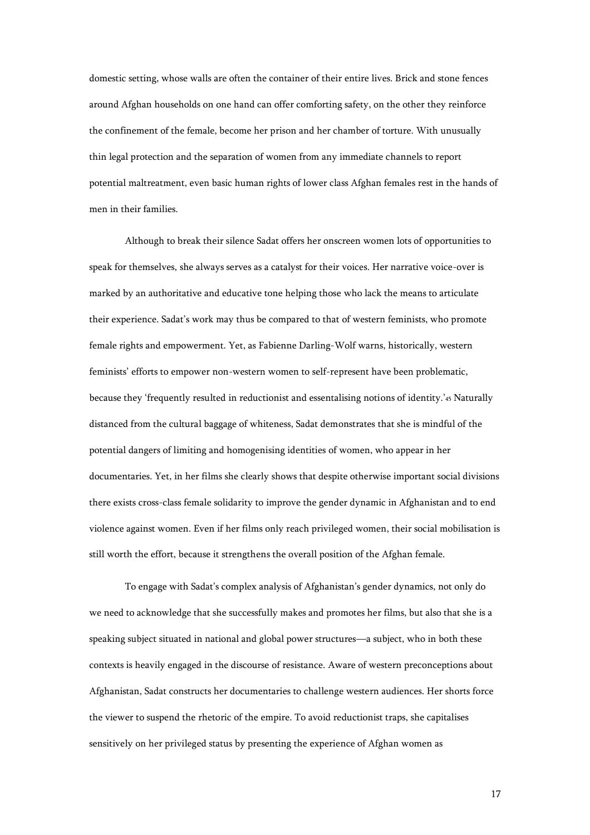domestic setting, whose walls are often the container of their entire lives. Brick and stone fences around Afghan households on one hand can offer comforting safety, on the other they reinforce the confinement of the female, become her prison and her chamber of torture. With unusually thin legal protection and the separation of women from any immediate channels to report potential maltreatment, even basic human rights of lower class Afghan females rest in the hands of men in their families.

Although to break their silence Sadat offers her onscreen women lots of opportunities to speak for themselves, she always serves as a catalyst for their voices. Her narrative voice-over is marked by an authoritative and educative tone helping those who lack the means to articulate their experience. Sadat's work may thus be compared to that of western feminists, who promote female rights and empowerment. Yet, as Fabienne Darling-Wolf warns, historically, western feminists' efforts to empower non-western women to self-represent have been problematic, because they 'frequently resulted in reductionist and essentalising notions of identity.'<sup>45</sup> Naturally distanced from the cultural baggage of whiteness, Sadat demonstrates that she is mindful of the potential dangers of limiting and homogenising identities of women, who appear in her documentaries. Yet, in her films she clearly shows that despite otherwise important social divisions there exists cross-class female solidarity to improve the gender dynamic in Afghanistan and to end violence against women. Even if her films only reach privileged women, their social mobilisation is still worth the effort, because it strengthens the overall position of the Afghan female.

To engage with Sadat's complex analysis of Afghanistan's gender dynamics, not only do we need to acknowledge that she successfully makes and promotes her films, but also that she is a speaking subject situated in national and global power structures—a subject, who in both these contexts is heavily engaged in the discourse of resistance. Aware of western preconceptions about Afghanistan, Sadat constructs her documentaries to challenge western audiences. Her shorts force the viewer to suspend the rhetoric of the empire. To avoid reductionist traps, she capitalises sensitively on her privileged status by presenting the experience of Afghan women as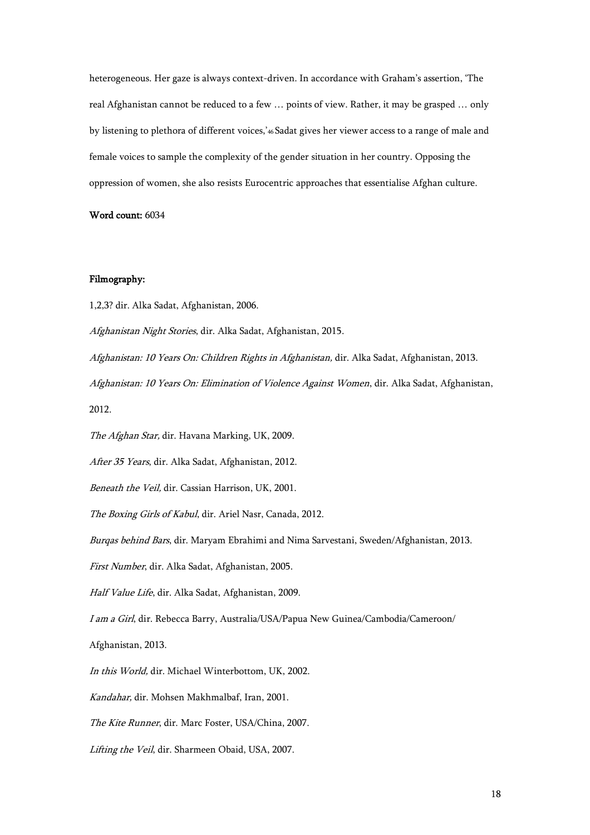heterogeneous. Her gaze is always context-driven. In accordance with Graham's assertion, 'The real Afghanistan cannot be reduced to a few … points of view. Rather, it may be grasped … only by listening to plethora of different voices,'<sup>46</sup> Sadat gives her viewer access to a range of male and female voices to sample the complexity of the gender situation in her country. Opposing the oppression of women, she also resists Eurocentric approaches that essentialise Afghan culture.

Word count: 6034

# Filmography:

1,2,3? dir. Alka Sadat, Afghanistan, 2006.

Afghanistan Night Stories, dir. Alka Sadat, Afghanistan, 2015.

Afghanistan: 10 Years On: Children Rights in Afghanistan, dir. Alka Sadat, Afghanistan, 2013. Afghanistan: 10 Years On: Elimination of Violence Against Women, dir. Alka Sadat, Afghanistan,

2012.

The Afghan Star, dir. Havana Marking, UK, 2009.

After 35 Years, dir. Alka Sadat, Afghanistan, 2012.

Beneath the Veil, dir. Cassian Harrison, UK, 2001.

The Boxing Girls of Kabul, dir. Ariel Nasr, Canada, 2012.

Burqas behind Bars, dir. Maryam Ebrahimi and Nima Sarvestani, Sweden/Afghanistan, 2013.

First Number, dir. Alka Sadat, Afghanistan, 2005.

Half Value Life, dir. Alka Sadat, Afghanistan, 2009.

I am a Girl, dir. Rebecca Barry, Australia/USA/Papua New Guinea/Cambodia/Cameroon/

Afghanistan, 2013.

In this World, dir. Michael Winterbottom, UK, 2002.

Kandahar, dir. Mohsen Makhmalbaf, Iran, 2001.

The Kite Runner, dir. Marc Foster, USA/China, 2007.

Lifting the Veil, dir. Sharmeen Obaid, USA, 2007.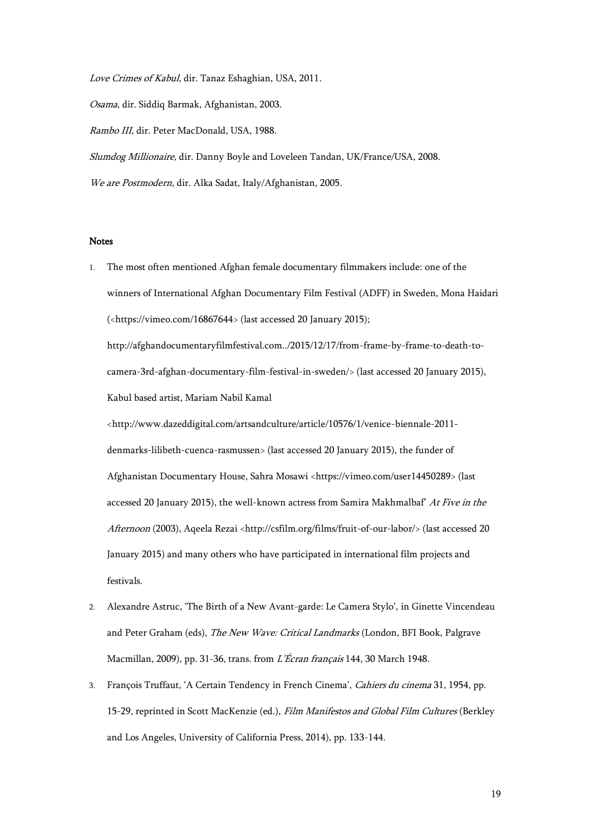Love Crimes of Kabul, dir. Tanaz Eshaghian, USA, 2011.

Osama, dir. Siddiq Barmak, Afghanistan, 2003.

Rambo III, dir. Peter MacDonald, USA, 1988.

Slumdog Millionaire, dir. Danny Boyle and Loveleen Tandan, UK/France/USA, 2008.

We are Postmodern, dir. Alka Sadat, Italy/Afghanistan, 2005.

#### Notes

1. The most often mentioned Afghan female documentary filmmakers include: one of the winners of International Afghan Documentary Film Festival (ADFF) in Sweden, Mona Haidari ([<https://vimeo.com/16867644>](https://vimeo.com/16867644) (last accessed 20 January 2015);

[http://afghandocumentaryfilmfestival.com../2015/12/17/from-frame-by-frame-to-death-to](http://afghandocumentaryfilmfestival.com../2015/12/17/from-frame-by-frame-to-death-to-camera-3rd-afghan-documentary-film-festival-in-sweden/)[camera-3rd-afghan-documentary-film-festival-in-sweden/>](http://afghandocumentaryfilmfestival.com../2015/12/17/from-frame-by-frame-to-death-to-camera-3rd-afghan-documentary-film-festival-in-sweden/) (last accessed 20 January 2015), Kabul based artist, Mariam Nabil Kamal

<http://www.dazeddigital.com/artsandculture/article/10576/1/venice-biennale-2011 denmarks-lilibeth-cuenca-rasmussen> (last accessed 20 January 2015), the funder of Afghanistan Documentary House, Sahra Mosawi <https://vimeo.com/user14450289> (last accessed 20 January 2015), the well-known actress from Samira Makhmalbaf' At Five in the Afternoon (2003), Aqeela Rezai <http://csfilm.org/films/fruit-of-our-labor/> (last accessed 20 January 2015) and many others who have participated in international film projects and festivals.

- 2. Alexandre Astruc, 'The Birth of a New Avant-garde: Le Camera Stylo', in Ginette Vincendeau and Peter Graham (eds), The New Wave: Critical Landmarks (London, BFI Book, Palgrave Macmillan, 2009), pp. 31-36, trans. from L'Écran français 144, 30 March 1948.
- 3. François Truffaut, 'A Certain Tendency in French Cinema', Cahiers du cinema 31, 1954, pp. 15-29, reprinted in Scott MacKenzie (ed.), Film Manifestos and Global Film Cultures (Berkley and Los Angeles, University of California Press, 2014), pp. 133-144.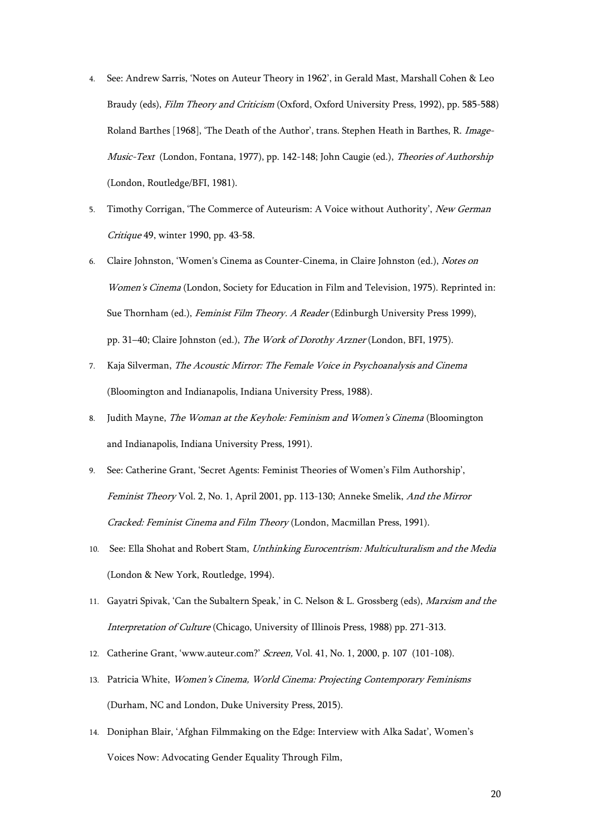- 4. See: Andrew Sarris, 'Notes on Auteur Theory in 1962', in Gerald Mast, Marshall Cohen & Leo Braudy (eds), Film Theory and Criticism (Oxford, Oxford University Press, 1992), pp. 585-588) Roland Barthes [1968], 'The Death of the Author', trans. Stephen Heath in Barthes, R. Image-Music-Text (London, Fontana, 1977), pp. 142-148; John Caugie (ed.), Theories of Authorship (London, Routledge/BFI, 1981).
- 5. Timothy Corrigan, 'The Commerce of Auteurism: A Voice without Authority', New German Critique 49, winter 1990, pp. 43-58.
- 6. Claire Johnston, 'Women's Cinema as Counter-Cinema, in Claire Johnston (ed.), Notes on Women's Cinema (London, Society for Education in Film and Television, 1975). Reprinted in: Sue Thornham (ed.), Feminist Film Theory. A Reader (Edinburgh University Press 1999), pp. 31–40; Claire Johnston (ed.), The Work of Dorothy Arzner (London, BFI, 1975).
- 7. Kaja Silverman, The Acoustic Mirror: The Female Voice in Psychoanalysis and Cinema (Bloomington and Indianapolis, Indiana University Press, 1988).
- 8. Judith Mayne, The Woman at the Keyhole: Feminism and Women's Cinema (Bloomington and Indianapolis, Indiana University Press, 1991).
- 9. See: Catherine Grant, 'Secret Agents: Feminist Theories of Women's Film Authorship', Feminist Theory Vol. 2, No. 1, April 2001, pp. 113-130; Anneke Smelik, And the Mirror Cracked: Feminist Cinema and Film Theory (London, Macmillan Press, 1991).
- 10. See: Ella Shohat and Robert Stam, Unthinking Eurocentrism: Multiculturalism and the Media (London & New York, Routledge, 1994).
- 11. Gayatri Spivak, 'Can the Subaltern Speak,' in C. Nelson & L. Grossberg (eds), Marxism and the Interpretation of Culture (Chicago, University of Illinois Press, 1988) pp. 271-313.
- 12. Catherine Grant, 'www.auteur.com?' Screen, Vol. 41, No. 1, 2000, p. 107 (101-108).
- 13. Patricia White, Women's Cinema, World Cinema: Projecting Contemporary Feminisms (Durham, NC and London, Duke University Press, 2015).
- 14. Doniphan Blair, 'Afghan Filmmaking on the Edge: Interview with Alka Sadat', Women's Voices Now: Advocating Gender Equality Through Film,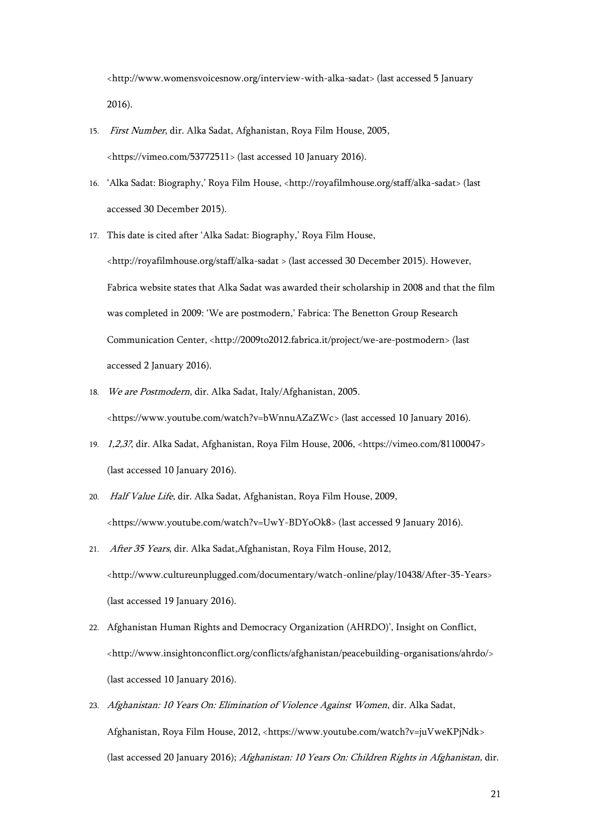<http://www.womensvoicesnow.org/interview-with-alka-sadat> (last accessed 5 January 2016).

- 15. First Number, dir. Alka Sadat, Afghanistan, Roya Film House, 2005, <https://vimeo.com/53772511> (last accessed 10 January 2016).
- 16. 'Alka Sadat: Biography,' Roya Film House, <http://royafilmhouse.org/staff/alka-sadat> (last accessed 30 December 2015).
- 17. This date is cited after 'Alka Sadat: Biography,' Roya Film House,

<http://royafilmhouse.org/staff/alka-sadat > (last accessed 30 December 2015). However, Fabrica website states that Alka Sadat was awarded their scholarship in 2008 and that the film was completed in 2009: 'We are postmodern,' Fabrica: The Benetton Group Research Communication Center, <http://2009to2012.fabrica.it/project/we-are-postmodern> (last accessed 2 January 2016).

18. We are Postmodern, dir. Alka Sadat, Italy/Afghanistan, 2005.

[<https://www.youtube.com/watch?v=bWnnuAZaZWc>](https://www.youtube.com/watch?v=bWnnuAZaZWc) (last accessed 10 January 2016).

- 19. 1,2,3?, dir. Alka Sadat, Afghanistan, Roya Film House, 2006, [<https://vimeo.com/81100047>](https://vimeo.com/81100047) (last accessed 10 January 2016).
- 20. Half Value Life, dir. Alka Sadat, Afghanistan, Roya Film House, 2009, [<https://www.youtube.com/watch?v=UwY-BDYoOk8>](https://www.youtube.com/watch?v=UwY-BDYoOk8) (last accessed 9 January 2016).
- 21. After 35 Years, dir. Alka Sadat,Afghanistan, Roya Film House, 2012, [<http://www.cultureunplugged.com/documentary/watch-online/play/10438/After-35-Years>](http://www.cultureunplugged.com/documentary/watch-online/play/10438/After-35-Years) (last accessed 19 January 2016).
- 22. Afghanistan Human Rights and Democracy Organization (AHRDO)', Insight on Conflict, [<http://www.insightonconflict.org/conflicts/afghanistan/peacebuilding-organisations/ahrdo/>](http://www.insightonconflict.org/conflicts/afghanistan/peacebuilding-organisations/ahrdo/) (last accessed 10 January 2016).
- 23. Afghanistan: 10 Years On: Elimination of Violence Against Women, dir. Alka Sadat, Afghanistan, Roya Film House, 2012, <https://www.youtube.com/watch?v=juVweKPjNdk> (last accessed 20 January 2016); Afghanistan: 10 Years On: Children Rights in Afghanistan, dir.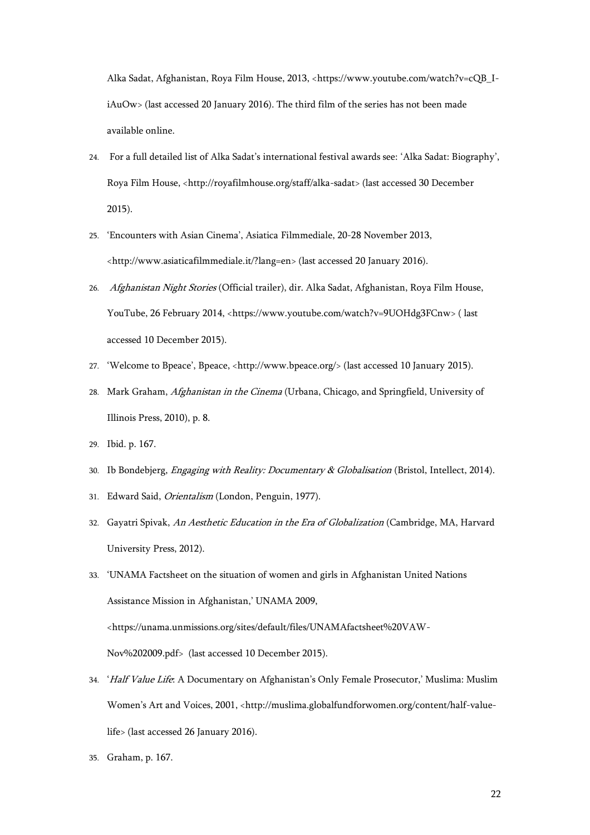Alka Sadat, Afghanistan, Roya Film House, 2013, [<https://www.youtube.com/watch?v=cQB\\_I](https://www.youtube.com/watch?v=cQB_I-iAuOw)[iAuOw>](https://www.youtube.com/watch?v=cQB_I-iAuOw) (last accessed 20 January 2016). The third film of the series has not been made available online.

- 24. For a full detailed list of Alka Sadat's international festival awards see: 'Alka Sadat: Biography', Roya Film House, <http://royafilmhouse.org/staff/alka-sadat> (last accessed 30 December 2015).
- 25. 'Encounters with Asian Cinema', Asiatica Filmmediale, 20-28 November 2013, <http://www.asiaticafilmmediale.it/?lang=en> (last accessed 20 January 2016).
- 26. Afghanistan Night Stories (Official trailer), dir. Alka Sadat, Afghanistan, Roya Film House, YouTube, 26 February 2014, <https://www.youtube.com/watch?v=9UOHdg3FCnw> ( last accessed 10 December 2015).
- 27. 'Welcome to Bpeace', Bpeace, <http://www.bpeace.org/> (last accessed 10 January 2015).
- 28. Mark Graham, Afghanistan in the Cinema (Urbana, Chicago, and Springfield, University of Illinois Press, 2010), p. 8.
- 29. Ibid. p. 167.
- 30. Ib Bondebjerg, Engaging with Reality: Documentary & Globalisation (Bristol, Intellect, 2014).
- 31. Edward Said, Orientalism (London, Penguin, 1977).
- 32. Gayatri Spivak, An Aesthetic Education in the Era of Globalization (Cambridge, MA, Harvard University Press, 2012).
- 33. 'UNAMA Factsheet on the situation of women and girls in Afghanistan United Nations Assistance Mission in Afghanistan,' UNAMA 2009, <https://unama.unmissions.org/sites/default/files/UNAMAfactsheet%20VAW-Nov%202009.pdf> (last accessed 10 December 2015).
- 34. 'Half Value Life: A Documentary on Afghanistan's Only Female Prosecutor,' Muslima: Muslim Women's Art and Voices, 2001, <http://muslima.globalfundforwomen.org/content/half-valuelife> (last accessed 26 January 2016).
- 35. Graham, p. 167.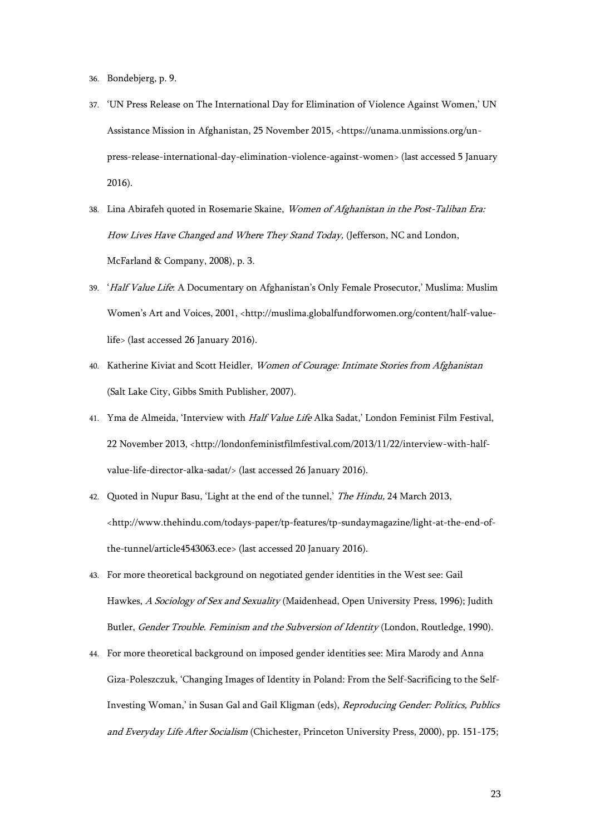- 36. Bondebjerg, p. 9.
- 37. 'UN Press Release on The International Day for Elimination of Violence Against Women,' UN Assistance Mission in Afghanistan, 25 November 2015, <https://unama.unmissions.org/unpress-release-international-day-elimination-violence-against-women> (last accessed 5 January 2016).
- 38. Lina Abirafeh quoted in Rosemarie Skaine, Women of Afghanistan in the Post-Taliban Era: How Lives Have Changed and Where They Stand Today, (Jefferson, NC and London, McFarland & Company, 2008), p. 3.
- 39. 'Half Value Life: A Documentary on Afghanistan's Only Female Prosecutor,' Muslima: Muslim Women's Art and Voices, 2001, <http://muslima.globalfundforwomen.org/content/half-valuelife> (last accessed 26 January 2016).
- 40. Katherine Kiviat and Scott Heidler, Women of Courage: Intimate Stories from Afghanistan (Salt Lake City, Gibbs Smith Publisher, 2007).
- 41. Yma de Almeida, 'Interview with Half Value Life Alka Sadat,' London Feminist Film Festival, 22 November 2013, <http://londonfeministfilmfestival.com/2013/11/22/interview-with-halfvalue-life-director-alka-sadat/> (last accessed 26 January 2016).
- 42. Quoted in Nupur Basu, 'Light at the end of the tunnel,' The Hindu, 24 March 2013, <http://www.thehindu.com/todays-paper/tp-features/tp-sundaymagazine/light-at-the-end-ofthe-tunnel/article4543063.ece> (last accessed 20 January 2016).
- 43. For more theoretical background on negotiated gender identities in the West see: Gail Hawkes, A Sociology of Sex and Sexuality (Maidenhead, Open University Press, 1996); Judith Butler, Gender Trouble. Feminism and the Subversion of Identity (London, Routledge, 1990).
- 44. For more theoretical background on imposed gender identities see: Mira Marody and Anna Giza-Poleszczuk, 'Changing Images of Identity in Poland: From the Self-Sacrificing to the Self-Investing Woman,' in Susan Gal and Gail Kligman (eds), Reproducing Gender: Politics, Publics and Everyday Life After Socialism (Chichester, Princeton University Press, 2000), pp. 151-175;